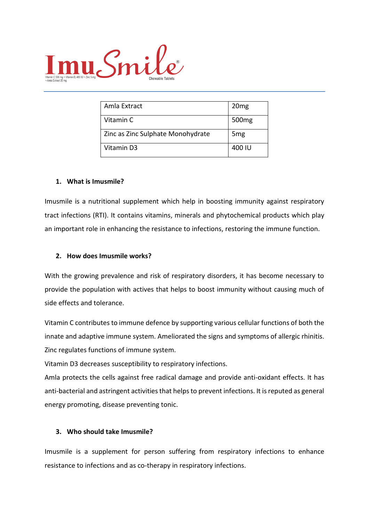

| Amla Extract                      | 20 <sub>mg</sub>  |
|-----------------------------------|-------------------|
| Vitamin C                         | 500 <sub>mg</sub> |
| Zinc as Zinc Sulphate Monohydrate | 5 <sub>mg</sub>   |
| Vitamin D3                        | 400 IU            |

### **1. What is Imusmile?**

Imusmile is a nutritional supplement which help in boosting immunity against respiratory tract infections (RTI). It contains vitamins, minerals and phytochemical products which play an important role in enhancing the resistance to infections, restoring the immune function.

#### **2. How does Imusmile works?**

With the growing prevalence and risk of respiratory disorders, it has become necessary to provide the population with actives that helps to boost immunity without causing much of side effects and tolerance.

Vitamin C contributes to immune defence by supporting various cellular functions of both the innate and adaptive immune system. Ameliorated the signs and symptoms of allergic rhinitis. Zinc regulates functions of immune system.

Vitamin D3 decreases susceptibility to respiratory infections.

Amla protects the cells against free radical damage and provide anti-oxidant effects. It has anti-bacterial and astringent activities that helps to prevent infections. It is reputed as general energy promoting, disease preventing tonic.

## **3. Who should take Imusmile?**

Imusmile is a supplement for person suffering from respiratory infections to enhance resistance to infections and as co-therapy in respiratory infections.